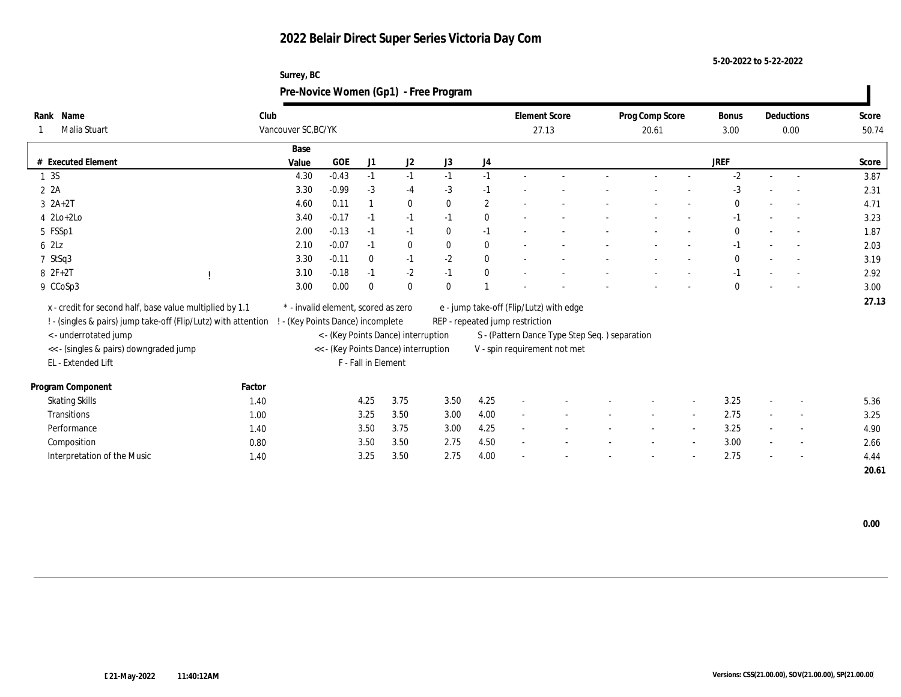| Surrey, BC                            |
|---------------------------------------|
| Pre-Novice Women (Gp1) - Free Program |

| Rank Name                                                      | Club   |                                     |         |                     |                                      |              |              |                                 | <b>Element Score</b>                          | Prog Comp Score |                          | Bonus        | Deductions               | Score |
|----------------------------------------------------------------|--------|-------------------------------------|---------|---------------------|--------------------------------------|--------------|--------------|---------------------------------|-----------------------------------------------|-----------------|--------------------------|--------------|--------------------------|-------|
| Malia Stuart                                                   |        | Vancouver SC, BC/YK                 |         |                     |                                      |              |              |                                 | 27.13                                         | 20.61           |                          | 3.00         | 0.00                     | 50.74 |
|                                                                |        | Base                                |         |                     |                                      |              |              |                                 |                                               |                 |                          |              |                          |       |
| # Executed Element                                             |        | Value                               | GOE     | J1                  | J <sub>2</sub>                       | J3           | J4           |                                 |                                               |                 |                          | <b>JREF</b>  |                          | Score |
| 1 3 S                                                          |        | 4.30                                | $-0.43$ | $-1$                | $-1$                                 | $-1$         | $-1$         |                                 |                                               |                 |                          | $-2$         |                          | 3.87  |
| 2A                                                             |        | 3.30                                | $-0.99$ | $-3$                | $-4$                                 | $-3$         | $-1$         |                                 |                                               |                 |                          | $-3$         |                          | 2.31  |
| $3 \text{ } 2A+2T$                                             |        | 4.60                                | 0.11    |                     | $\bf{0}$                             | $\mathbf{0}$ | $\mathbf{2}$ |                                 |                                               |                 |                          | $\mathbf{0}$ | $\sim$                   | 4.71  |
| $4$ $2Lo+2Lo$                                                  |        | 3.40                                | $-0.17$ | $-1$                | $-1$                                 | $-1$         | $\bf{0}$     |                                 |                                               |                 |                          | $-1$         | $\overline{\phantom{a}}$ | 3.23  |
| 5 FSSp1                                                        |        | 2.00                                | $-0.13$ | $-1$                | $-1$                                 | $\bf{0}$     | $-1$         |                                 |                                               |                 |                          | $\mathbf{0}$ | $\sim$                   | 1.87  |
| 62Lz                                                           |        | 2.10                                | $-0.07$ | $-1$                | $\bf{0}$                             | $\bf{0}$     | $\bf{0}$     |                                 |                                               |                 |                          | $-1$         |                          | 2.03  |
| 7 StSq3                                                        |        | 3.30                                | $-0.11$ | $\bf{0}$            | $-1$                                 | $-2$         | $\bf{0}$     |                                 |                                               |                 |                          | $\theta$     | $\overline{\phantom{a}}$ | 3.19  |
| 8 2F+2T                                                        |        | 3.10                                | $-0.18$ | $-1$                | $-2$                                 | $-1$         | $\mathbf{0}$ |                                 |                                               |                 |                          | $-1$         |                          | 2.92  |
| 9 CCoSp3                                                       |        | 3.00                                | 0.00    | $\theta$            | $\mathbf{0}$                         | $\mathbf{0}$ |              |                                 |                                               |                 |                          | $\theta$     | $\sim$                   | 3.00  |
|                                                                |        |                                     |         |                     |                                      |              |              |                                 |                                               |                 |                          |              |                          | 27.13 |
| x - credit for second half, base value multiplied by 1.1       |        | * - invalid element, scored as zero |         |                     |                                      |              |              |                                 | e - jump take-off (Flip/Lutz) with edge       |                 |                          |              |                          |       |
| ! - (singles & pairs) jump take-off (Flip/Lutz) with attention |        | - (Key Points Dance) incomplete     |         |                     |                                      |              |              | REP - repeated jump restriction |                                               |                 |                          |              |                          |       |
| < - underrotated jump                                          |        |                                     |         |                     | < - (Key Points Dance) interruption  |              |              |                                 | S - (Pattern Dance Type Step Seq.) separation |                 |                          |              |                          |       |
| << - (singles & pairs) downgraded jump                         |        |                                     |         | F - Fall in Element | << - (Key Points Dance) interruption |              |              |                                 | V - spin requirement not met                  |                 |                          |              |                          |       |
| EL - Extended Lift                                             |        |                                     |         |                     |                                      |              |              |                                 |                                               |                 |                          |              |                          |       |
| Program Component                                              | Factor |                                     |         |                     |                                      |              |              |                                 |                                               |                 |                          |              |                          |       |
| <b>Skating Skills</b>                                          | 1.40   |                                     |         | 4.25                | 3.75                                 | 3.50         | 4.25         |                                 |                                               |                 | $\overline{\phantom{a}}$ | 3.25         | $\overline{\phantom{a}}$ | 5.36  |
| Transitions                                                    | 1.00   |                                     |         | 3.25                | 3.50                                 | 3.00         | 4.00         |                                 |                                               |                 |                          | 2.75         | $\overline{\phantom{a}}$ | 3.25  |
| Performance                                                    | 1.40   |                                     |         | 3.50                | 3.75                                 | 3.00         | 4.25         |                                 |                                               |                 |                          | 3.25         | $\overline{\phantom{a}}$ | 4.90  |
| Composition                                                    | 0.80   |                                     |         | 3.50                | 3.50                                 | 2.75         | 4.50         | $\sim$                          |                                               |                 | $\overline{\phantom{a}}$ | 3.00         | $\sim$                   | 2.66  |
| Interpretation of the Music                                    | 1.40   |                                     |         | 3.25                | 3.50                                 | 2.75         | 4.00         |                                 |                                               |                 |                          | 2.75         | $\overline{\phantom{a}}$ | 4.44  |
|                                                                |        |                                     |         |                     |                                      |              |              |                                 |                                               |                 |                          |              |                          | 20.61 |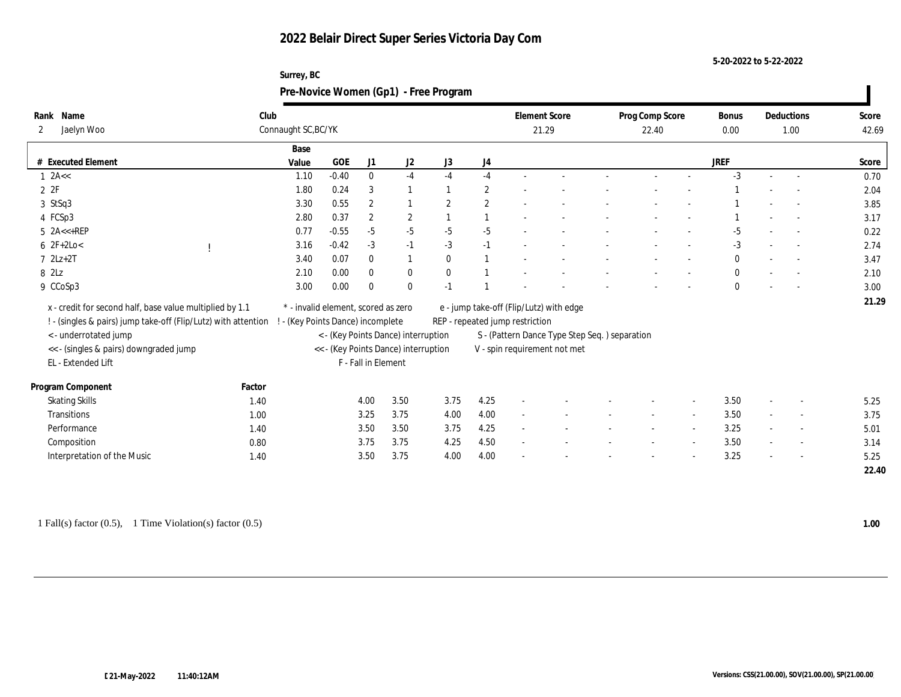| Surrey, BC                            |
|---------------------------------------|
| Pre-Novice Women (Gp1) - Free Program |

| Name<br>Rank                                                   | Club   |                                     |         |                     |                                      |                |                |                                 | <b>Element Score</b>                          | Prog Comp Score |                          | Bonus        | Deductions               | Score |
|----------------------------------------------------------------|--------|-------------------------------------|---------|---------------------|--------------------------------------|----------------|----------------|---------------------------------|-----------------------------------------------|-----------------|--------------------------|--------------|--------------------------|-------|
| Jaelyn Woo<br>2                                                |        | Connaught SC, BC/YK                 |         |                     |                                      |                |                |                                 | 21.29                                         | 22.40           |                          | 0.00         | 1.00                     | 42.69 |
|                                                                |        | Base                                |         |                     |                                      |                |                |                                 |                                               |                 |                          |              |                          |       |
| # Executed Element                                             |        | Value                               | GOE     | J1                  | J <sub>2</sub>                       | J3             | J4             |                                 |                                               |                 |                          | <b>JREF</b>  |                          | Score |
| $1$ 2A $\lt$                                                   |        | 1.10                                | $-0.40$ | $\bf{0}$            | $-4$                                 | $-4$           | $-4$           |                                 |                                               |                 |                          | $-3$         |                          | 0.70  |
| 2 2F                                                           |        | 1.80                                | 0.24    | 3                   |                                      |                | $\mathbf{2}$   |                                 |                                               |                 |                          |              |                          | 2.04  |
| 3 StSq3                                                        |        | 3.30                                | 0.55    | $\overline{2}$      |                                      | $\overline{2}$ | $\mathbf{2}$   |                                 |                                               |                 |                          |              | $\sim$                   | 3.85  |
| 4 FCSp3                                                        |        | 2.80                                | 0.37    | $\boldsymbol{2}$    | $\overline{2}$                       |                |                |                                 |                                               |                 |                          |              | $\overline{\phantom{a}}$ | 3.17  |
| $5$ $2A < +REP$                                                |        | 0.77                                | $-0.55$ | $-5$                | $-5$                                 | $-5$           | $-5$           |                                 |                                               |                 |                          | $-5$         | $\overline{a}$           | 0.22  |
| $62F+2Lo<$                                                     |        | 3.16                                | $-0.42$ | $-3$                | $-1$                                 | $-3$           | $-1$           |                                 |                                               |                 |                          | $-3$         |                          | 2.74  |
| $7$ $2Lz+2T$                                                   |        | 3.40                                | 0.07    | $\bf{0}$            | $\mathbf{1}$                         | $\mathbf{0}$   | $\overline{1}$ |                                 |                                               |                 |                          | $\mathbf{0}$ | $\sim$                   | 3.47  |
| 8 2Lz                                                          |        | 2.10                                | 0.00    | $\mathbf{0}$        | $\bf{0}$                             | $\mathbf{0}$   |                |                                 |                                               |                 |                          | $\mathbf{0}$ |                          | 2.10  |
| 9 CCoSp3                                                       |        | 3.00                                | 0.00    | $\theta$            | $\mathbf{0}$                         | $-1$           |                |                                 |                                               |                 |                          | $\mathbf{0}$ | $\sim$                   | 3.00  |
|                                                                |        |                                     |         |                     |                                      |                |                |                                 |                                               |                 |                          |              |                          | 21.29 |
| x - credit for second half, base value multiplied by 1.1       |        | * - invalid element, scored as zero |         |                     |                                      |                |                |                                 | e - jump take-off (Flip/Lutz) with edge       |                 |                          |              |                          |       |
| ! - (singles & pairs) jump take-off (Flip/Lutz) with attention |        | - (Key Points Dance) incomplete     |         |                     |                                      |                |                | REP - repeated jump restriction |                                               |                 |                          |              |                          |       |
| < - underrotated jump                                          |        |                                     |         |                     | < - (Key Points Dance) interruption  |                |                |                                 | S - (Pattern Dance Type Step Seq.) separation |                 |                          |              |                          |       |
| << - (singles & pairs) downgraded jump                         |        |                                     |         | F - Fall in Element | << - (Key Points Dance) interruption |                |                |                                 | V - spin requirement not met                  |                 |                          |              |                          |       |
| EL - Extended Lift                                             |        |                                     |         |                     |                                      |                |                |                                 |                                               |                 |                          |              |                          |       |
| Program Component                                              | Factor |                                     |         |                     |                                      |                |                |                                 |                                               |                 |                          |              |                          |       |
| <b>Skating Skills</b>                                          | 1.40   |                                     |         | 4.00                | 3.50                                 | 3.75           | 4.25           | $\overline{\phantom{a}}$        |                                               |                 | $\overline{\phantom{a}}$ | 3.50         | $\overline{\phantom{a}}$ | 5.25  |
| Transitions                                                    | 1.00   |                                     |         | 3.25                | 3.75                                 | 4.00           | 4.00           |                                 |                                               |                 |                          | 3.50         | $\overline{\phantom{a}}$ | 3.75  |
| Performance                                                    | 1.40   |                                     |         | 3.50                | 3.50                                 | 3.75           | 4.25           |                                 |                                               |                 |                          | 3.25         | $\overline{\phantom{a}}$ | 5.01  |
| Composition                                                    | 0.80   |                                     |         | 3.75                | 3.75                                 | 4.25           | 4.50           | $\sim$                          |                                               |                 | $\overline{\phantom{a}}$ | 3.50         | $\sim$                   | 3.14  |
| Interpretation of the Music                                    | 1.40   |                                     |         | 3.50                | 3.75                                 | 4.00           | 4.00           |                                 |                                               |                 |                          | 3.25         |                          | 5.25  |
|                                                                |        |                                     |         |                     |                                      |                |                |                                 |                                               |                 |                          |              |                          | 22.40 |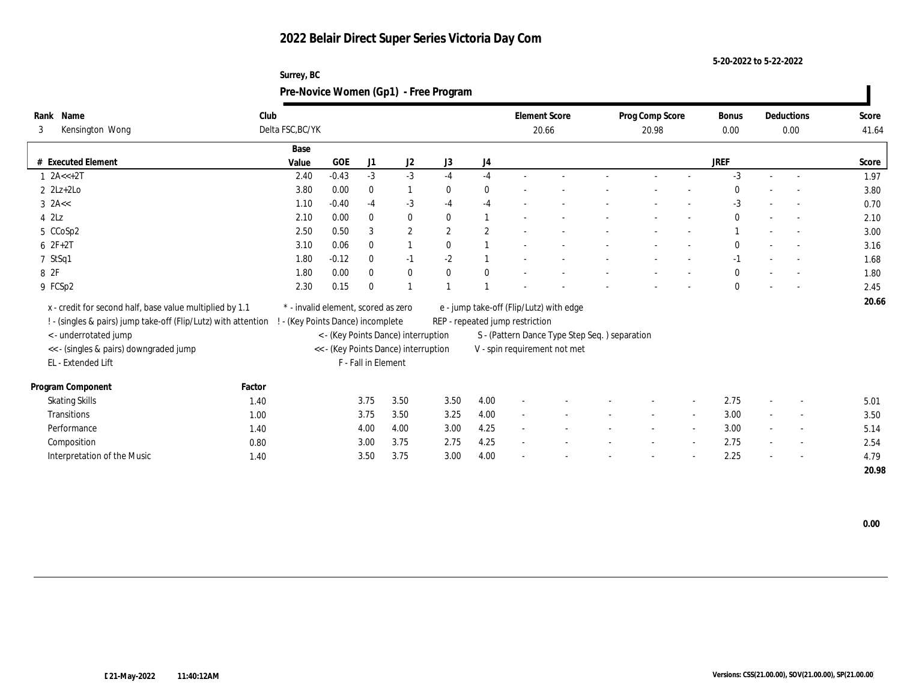| Surrey, BC                            |
|---------------------------------------|
| Pre-Novice Women (Gp1) - Free Program |

| Name<br>Rank                                                   | Club   |                                     |         |                     |                                      |                |                |                                 | <b>Element Score</b>                          | Prog Comp Score | Bonus        | Deductions               | Score |
|----------------------------------------------------------------|--------|-------------------------------------|---------|---------------------|--------------------------------------|----------------|----------------|---------------------------------|-----------------------------------------------|-----------------|--------------|--------------------------|-------|
| Kensington Wong<br>3                                           |        | Delta FSC, BC/YK                    |         |                     |                                      |                |                |                                 | 20.66                                         | 20.98           | 0.00         | 0.00                     | 41.64 |
|                                                                |        | Base                                |         |                     |                                      |                |                |                                 |                                               |                 |              |                          |       |
| # Executed Element                                             |        | Value                               | GOE     | J1                  | J2                                   | J3             | J4             |                                 |                                               |                 | <b>JREF</b>  |                          | Score |
| $1 2A < +2T$                                                   |        | 2.40                                | $-0.43$ | $-3$                | $-3$                                 | $-4$           | $-4$           |                                 |                                               |                 | $-3$         |                          | 1.97  |
| $2$ $2Lz+2Lo$                                                  |        | 3.80                                | 0.00    | $\bf{0}$            | $\mathbf{1}$                         | $\bf{0}$       | $\bf{0}$       |                                 |                                               |                 | $\mathbf{0}$ |                          | 3.80  |
| $3$ 2A $\lt$                                                   |        | 1.10                                | $-0.40$ | $-4$                | $-3$                                 | $-4$           | $-4$           |                                 |                                               |                 | $-3$         |                          | 0.70  |
| $4$ $2\text{L}z$                                               |        | 2.10                                | 0.00    | $\theta$            | $\bf{0}$                             | $\theta$       |                |                                 |                                               |                 | $\mathbf{0}$ | $\sim$                   | 2.10  |
| 5 CCoSp2                                                       |        | 2.50                                | 0.50    | 3                   | $\boldsymbol{2}$                     | $\overline{2}$ | $\overline{2}$ |                                 |                                               |                 |              |                          | 3.00  |
| $62F+2T$                                                       |        | 3.10                                | 0.06    | $\bf{0}$            | $\mathbf{1}$                         | $\bf{0}$       |                |                                 |                                               |                 | $\bf{0}$     |                          | 3.16  |
| 7 StSq1                                                        |        | 1.80                                | $-0.12$ | $\mathbf{0}$        | $-1$                                 | $-2$           |                |                                 |                                               |                 | $-1$         |                          | 1.68  |
| 8 2F                                                           |        | 1.80                                | 0.00    | $\mathbf{0}$        | $\bf{0}$                             | $\mathbf{0}$   | $\bf{0}$       |                                 |                                               |                 | $\bf{0}$     | $\overline{\phantom{a}}$ | 1.80  |
| 9 FCSp2                                                        |        | 2.30                                | 0.15    | $\theta$            |                                      |                |                |                                 |                                               |                 | $\mathbf{0}$ |                          | 2.45  |
| x - credit for second half, base value multiplied by 1.1       |        | * - invalid element, scored as zero |         |                     |                                      |                |                |                                 | e - jump take-off (Flip/Lutz) with edge       |                 |              |                          | 20.66 |
| ! - (singles & pairs) jump take-off (Flip/Lutz) with attention |        | ! - (Key Points Dance) incomplete   |         |                     |                                      |                |                | REP - repeated jump restriction |                                               |                 |              |                          |       |
| < - underrotated jump                                          |        |                                     |         |                     | < - (Key Points Dance) interruption  |                |                |                                 | S - (Pattern Dance Type Step Seq.) separation |                 |              |                          |       |
| << - (singles & pairs) downgraded jump                         |        |                                     |         |                     | << - (Key Points Dance) interruption |                |                |                                 | V - spin requirement not met                  |                 |              |                          |       |
| EL - Extended Lift                                             |        |                                     |         | F - Fall in Element |                                      |                |                |                                 |                                               |                 |              |                          |       |
|                                                                |        |                                     |         |                     |                                      |                |                |                                 |                                               |                 |              |                          |       |
| Program Component                                              | Factor |                                     |         |                     |                                      |                |                |                                 |                                               |                 |              |                          |       |
| <b>Skating Skills</b>                                          | 1.40   |                                     |         | 3.75                | 3.50                                 | 3.50           | 4.00           |                                 |                                               |                 | 2.75         | $\sim$                   | 5.01  |
| Transitions                                                    | 1.00   |                                     |         | 3.75                | 3.50                                 | 3.25           | 4.00           |                                 |                                               |                 | 3.00         | $\sim$                   | 3.50  |
| Performance                                                    | 1.40   |                                     |         | 4.00                | 4.00                                 | 3.00           | 4.25           |                                 |                                               |                 | 3.00         | $\overline{\phantom{a}}$ | 5.14  |
| Composition                                                    | 0.80   |                                     |         | 3.00                | 3.75                                 | 2.75           | 4.25           | $\sim$                          |                                               |                 | 2.75         | $\sim$                   | 2.54  |
| Interpretation of the Music                                    | 1.40   |                                     |         | 3.50                | 3.75                                 | 3.00           | 4.00           |                                 |                                               |                 | 2.25         |                          | 4.79  |
|                                                                |        |                                     |         |                     |                                      |                |                |                                 |                                               |                 |              |                          | 20.98 |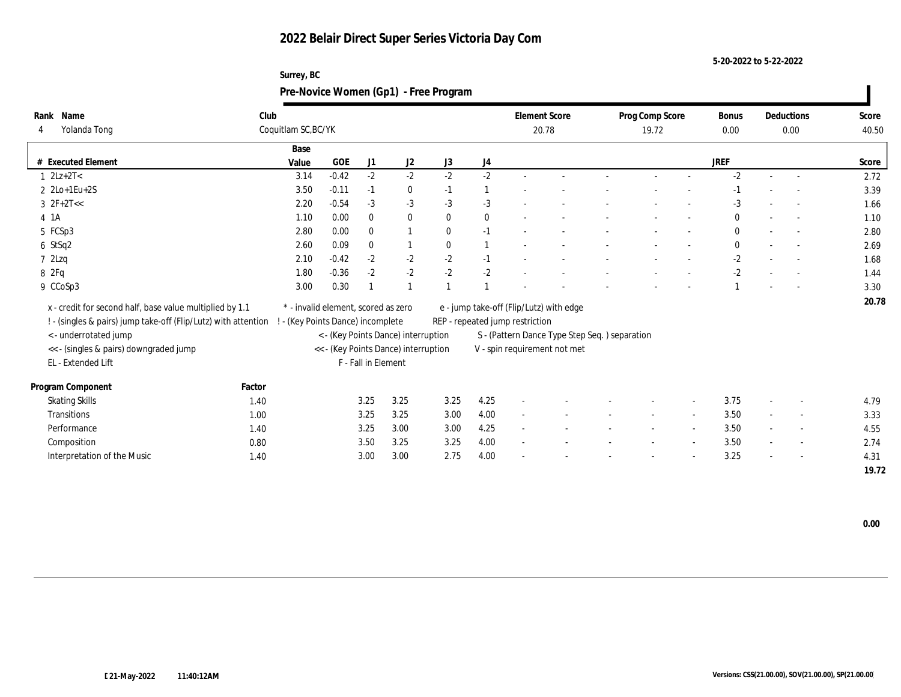| Surrey, BC                            |
|---------------------------------------|
| Pre-Novice Women (Gp1) - Free Program |

| Name<br>Rank                                                    | Club   |                                 |                                     |                     |                                      |              |                  | <b>Element Score</b>            |                                               | Prog Comp Score | <b>Bonus</b> | Deductions               | Score |
|-----------------------------------------------------------------|--------|---------------------------------|-------------------------------------|---------------------|--------------------------------------|--------------|------------------|---------------------------------|-----------------------------------------------|-----------------|--------------|--------------------------|-------|
| Yolanda Tong                                                    |        | Coquitlam SC, BC/YK             |                                     |                     |                                      |              |                  |                                 | 20.78                                         | 19.72           | 0.00         | 0.00                     | 40.50 |
|                                                                 |        | Base                            |                                     |                     |                                      |              |                  |                                 |                                               |                 |              |                          |       |
| # Executed Element                                              |        | Value                           | GOE                                 | J1                  | J2                                   | J3           | $_{\mathrm{J}4}$ |                                 |                                               |                 | JREF         |                          | Score |
| $1 \, 2Lz + 2T <$                                               |        | 3.14                            | $-0.42$                             | $-2$                | $-2$                                 | $-2$         | $-2$             |                                 |                                               |                 | $-2$         |                          | 2.72  |
| $2 \text{ } 2\text{Lo+1} \text{Eu+2S}$                          |        | 3.50                            | $-0.11$                             | $-1$                | $\bf{0}$                             | $-1$         | $\mathbf{1}$     |                                 |                                               |                 | $-1$         |                          | 3.39  |
| $3 \t2F+2T<<$                                                   |        | 2.20                            | $-0.54$                             | $-3$                | $-3$                                 | $-3$         | $-3$             |                                 |                                               |                 | $-3$         |                          | 1.66  |
| 4 1 A                                                           |        | 1.10                            | 0.00                                | $\mathbf{0}$        | $\bf{0}$                             | $\mathbf{0}$ | $\bf{0}$         |                                 |                                               |                 | $\mathbf{0}$ |                          | 1.10  |
| 5 FCSp3                                                         |        | 2.80                            | 0.00                                | $\theta$            | $\overline{1}$                       | $\theta$     | $-1$             |                                 |                                               |                 | $\mathbf{0}$ | $\sim$                   | 2.80  |
| 6 StSq2                                                         |        | 2.60                            | 0.09                                | $\mathbf{0}$        | $\mathbf{1}$                         | $\mathbf{0}$ |                  |                                 |                                               |                 | $\mathbf{0}$ |                          | 2.69  |
| 72Lzq                                                           |        | 2.10                            | $-0.42$                             | $-2$                | $-2$                                 | $-2$         | $-1$             |                                 |                                               |                 | $-2$         |                          | 1.68  |
| 8 2Fq                                                           |        | 1.80                            | $-0.36$                             | $-2$                | $-2$                                 | $-2$         | $-2$             |                                 |                                               |                 | $-2$         |                          | 1.44  |
| 9 CCoSp3                                                        |        | 3.00                            | 0.30                                |                     |                                      |              |                  |                                 |                                               |                 |              | $\sim$                   | 3.30  |
| x - credit for second half, base value multiplied by 1.1        |        |                                 | * - invalid element, scored as zero |                     |                                      |              |                  |                                 | e - jump take-off (Flip/Lutz) with edge       |                 |              |                          | 20.78 |
| ! - (singles & pairs) jump take-off (Flip/Lutz) with attention  |        | - (Key Points Dance) incomplete |                                     |                     |                                      |              |                  | REP - repeated jump restriction |                                               |                 |              |                          |       |
|                                                                 |        |                                 |                                     |                     | < - (Key Points Dance) interruption  |              |                  |                                 | S - (Pattern Dance Type Step Seq.) separation |                 |              |                          |       |
| < - underrotated jump<br><< - (singles & pairs) downgraded jump |        |                                 |                                     |                     | << - (Key Points Dance) interruption |              |                  |                                 | V - spin requirement not met                  |                 |              |                          |       |
| EL - Extended Lift                                              |        |                                 |                                     | F - Fall in Element |                                      |              |                  |                                 |                                               |                 |              |                          |       |
|                                                                 |        |                                 |                                     |                     |                                      |              |                  |                                 |                                               |                 |              |                          |       |
| Program Component                                               | Factor |                                 |                                     |                     |                                      |              |                  |                                 |                                               |                 |              |                          |       |
| <b>Skating Skills</b>                                           | 1.40   |                                 |                                     | 3.25                | 3.25                                 | 3.25         | 4.25             |                                 |                                               |                 | 3.75         | $\overline{\phantom{a}}$ | 4.79  |
| Transitions                                                     | 1.00   |                                 |                                     | 3.25                | 3.25                                 | 3.00         | 4.00             |                                 |                                               |                 | 3.50         | $\overline{\phantom{a}}$ | 3.33  |
| Performance                                                     | 1.40   |                                 |                                     | 3.25                | 3.00                                 | 3.00         | 4.25             |                                 |                                               |                 | 3.50         | $\sim$                   | 4.55  |
| Composition                                                     | 0.80   |                                 |                                     | 3.50                | 3.25                                 | 3.25         | 4.00             | $\sim$                          |                                               |                 | 3.50         | $\sim$                   | 2.74  |
| Interpretation of the Music                                     | 1.40   |                                 |                                     | 3.00                | 3.00                                 | 2.75         | 4.00             |                                 |                                               |                 | 3.25         |                          | 4.31  |
|                                                                 |        |                                 |                                     |                     |                                      |              |                  |                                 |                                               |                 |              |                          | 19.72 |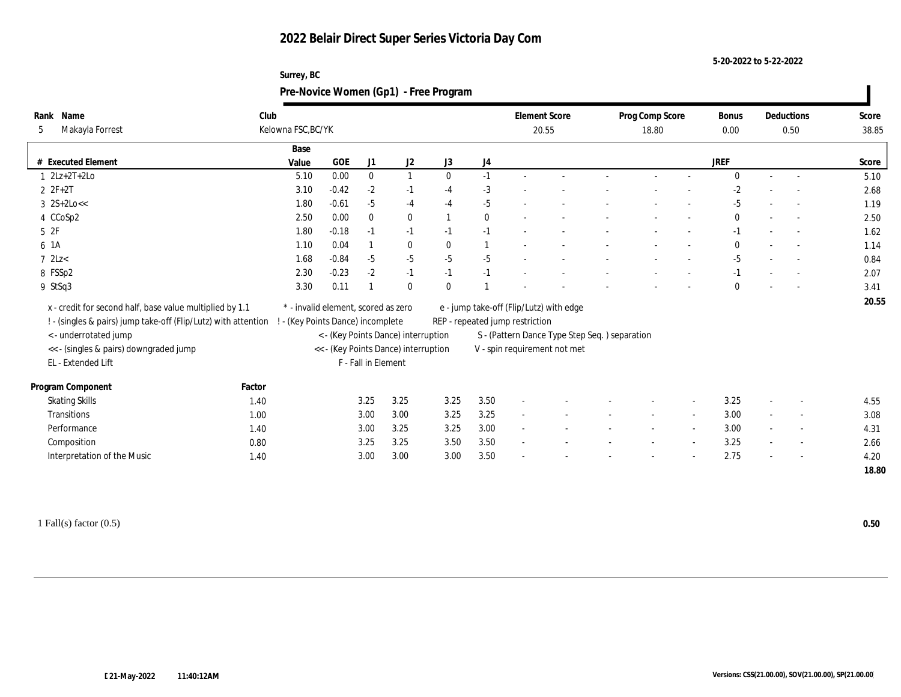#### **5-20-2022 to 5-22-2022**

#### **Surrey, BC Pre-Novice Women (Gp1) - Free Program**

| Name<br>Rank                           | Club                                                           |                                     |            |                     |                                      |              |              |                                 | <b>Element Score</b>                           | Prog Comp Score |                          | Bonus        | Deductions               | Score |
|----------------------------------------|----------------------------------------------------------------|-------------------------------------|------------|---------------------|--------------------------------------|--------------|--------------|---------------------------------|------------------------------------------------|-----------------|--------------------------|--------------|--------------------------|-------|
| Makayla Forrest<br>5                   |                                                                | Kelowna FSC, BC/YK                  |            |                     |                                      |              |              |                                 | 20.55                                          | 18.80           |                          | 0.00         | 0.50                     | 38.85 |
|                                        |                                                                | Base                                |            |                     |                                      |              |              |                                 |                                                |                 |                          |              |                          |       |
| # Executed Element                     |                                                                | Value                               | <b>GOE</b> | J1                  | J <sub>2</sub>                       | J3           | J4           |                                 |                                                |                 |                          | <b>JREF</b>  |                          | Score |
| $1 \quad 2Lz + 2T + 2Lo$               |                                                                | 5.10                                | 0.00       | $\mathbf{0}$        | $\mathbf{1}$                         | $\mathbf{0}$ | $-1$         |                                 |                                                |                 |                          | $\Omega$     | $\sim$                   | 5.10  |
| $2 ZF+2T$                              |                                                                | 3.10                                | $-0.42$    | $-2$                | $-1$                                 | $-4$         | $-3$         |                                 |                                                |                 |                          | $-2$         |                          | 2.68  |
| $3 \; 2S+2Lo <<$                       |                                                                | 1.80                                | $-0.61$    | $-5$                | $-4$                                 | $-4$         | $-5$         |                                 |                                                |                 |                          | $-5$         | $\sim$                   | 1.19  |
| 4 CCoSp2                               |                                                                | 2.50                                | 0.00       | $\bf{0}$            | $\bf{0}$                             |              | $\bf{0}$     |                                 |                                                |                 |                          | $\mathbf{0}$ | $\sim$                   | 2.50  |
| 5 2F                                   |                                                                | 1.80                                | $-0.18$    | $-1$                | $-1$                                 | $-1$         | $-1$         |                                 |                                                |                 |                          | $-1$         | $\sim$                   | 1.62  |
| 6 1A                                   |                                                                | 1.10                                | 0.04       |                     | $\bf{0}$                             | $\mathbf{0}$ | $\mathbf{1}$ |                                 |                                                |                 |                          | $\theta$     | $\overline{\phantom{a}}$ | 1.14  |
| $7$ 2Lz $<$                            |                                                                | 1.68                                | $-0.84$    | $-5$                | $-5$                                 | $-5$         | $-5$         |                                 |                                                |                 |                          | $-5$         | $\overline{a}$           | 0.84  |
| 8 FSSp2                                |                                                                | 2.30                                | $-0.23$    | $-2$                | $-1$                                 | $-1$         | $-1$         |                                 |                                                |                 |                          | $-1$         | $\sim$                   | 2.07  |
| 9 StSq3                                |                                                                | 3.30                                | 0.11       |                     | $\mathbf{0}$                         | $\theta$     |              |                                 |                                                |                 |                          | $\theta$     | $\overline{a}$           | 3.41  |
|                                        | x - credit for second half, base value multiplied by 1.1       | * - invalid element, scored as zero |            |                     |                                      |              |              |                                 | e - jump take-off (Flip/Lutz) with edge        |                 |                          |              |                          | 20.55 |
|                                        | ! - (singles & pairs) jump take-off (Flip/Lutz) with attention | - (Key Points Dance) incomplete     |            |                     |                                      |              |              | REP - repeated jump restriction |                                                |                 |                          |              |                          |       |
| < - underrotated jump                  |                                                                |                                     |            |                     | < - (Key Points Dance) interruption  |              |              |                                 | S - (Pattern Dance Type Step Seq. ) separation |                 |                          |              |                          |       |
| << - (singles & pairs) downgraded jump |                                                                |                                     |            |                     | << - (Key Points Dance) interruption |              |              |                                 | V - spin requirement not met                   |                 |                          |              |                          |       |
| EL - Extended Lift                     |                                                                |                                     |            | F - Fall in Element |                                      |              |              |                                 |                                                |                 |                          |              |                          |       |
|                                        |                                                                |                                     |            |                     |                                      |              |              |                                 |                                                |                 |                          |              |                          |       |
| Program Component                      | Factor                                                         |                                     |            |                     |                                      |              |              |                                 |                                                |                 |                          |              |                          |       |
| <b>Skating Skills</b>                  | 1.40                                                           |                                     |            | 3.25                | 3.25                                 | 3.25         | 3.50         |                                 |                                                |                 | $\overline{\phantom{a}}$ | 3.25         | $\overline{\phantom{a}}$ | 4.55  |
| Transitions                            | 1.00                                                           |                                     |            | 3.00                | 3.00                                 | 3.25         | 3.25         |                                 |                                                |                 | $\overline{\phantom{a}}$ | 3.00         | $\overline{\phantom{a}}$ | 3.08  |
| Performance                            | 1.40                                                           |                                     |            | 3.00                | 3.25                                 | 3.25         | 3.00         |                                 |                                                |                 |                          | 3.00         | $\overline{\phantom{a}}$ | 4.31  |
| Composition                            | 0.80                                                           |                                     |            | 3.25                | 3.25                                 | 3.50         | 3.50         | $\sim$                          |                                                |                 | $\sim$                   | 3.25         | $\sim$                   | 2.66  |
| Interpretation of the Music            | 1.40                                                           |                                     |            | 3.00                | 3.00                                 | 3.00         | 3.50         |                                 |                                                |                 |                          | 2.75         | $\overline{\phantom{a}}$ | 4.20  |
|                                        |                                                                |                                     |            |                     |                                      |              |              |                                 |                                                |                 |                          |              |                          | 18.80 |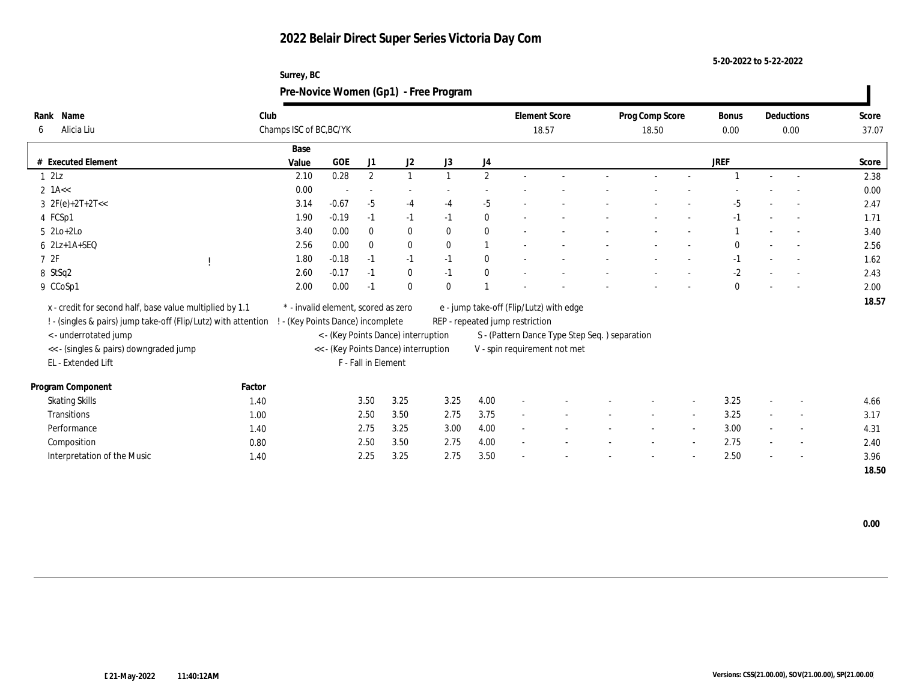| Surrey, BC                            |
|---------------------------------------|
| Pre-Novice Women (Gp1) - Free Program |

| Name<br>Rank                                                                            | Club   |                                     |         |                     |                                      |              |                | <b>Element Score</b>            |                                               | Prog Comp Score | Bonus        | Deductions               | Score |
|-----------------------------------------------------------------------------------------|--------|-------------------------------------|---------|---------------------|--------------------------------------|--------------|----------------|---------------------------------|-----------------------------------------------|-----------------|--------------|--------------------------|-------|
| Alicia Liu<br>6                                                                         |        | Champs ISC of BC, BC/YK             |         |                     |                                      |              |                |                                 | 18.57                                         | 18.50           | 0.00         | 0.00                     | 37.07 |
|                                                                                         |        | Base                                |         |                     |                                      |              |                |                                 |                                               |                 |              |                          |       |
| <b>Executed Element</b>                                                                 |        | Value                               | GOE     | J1                  | J <sub>2</sub>                       | J3           | J4             |                                 |                                               |                 | <b>JREF</b>  |                          | Score |
| 12Lz                                                                                    |        | 2.10                                | 0.28    | $\boldsymbol{2}$    | $\mathbf{1}$                         |              | $\mathbf{2}$   |                                 |                                               |                 |              |                          | 2.38  |
| $2$ 1A <<                                                                               |        | 0.00                                |         | $\sim$              | $\overline{\phantom{a}}$             |              |                |                                 |                                               |                 |              |                          | 0.00  |
| $3 \text{ } 2F(e)+2T+2T<<$                                                              |        | 3.14                                | $-0.67$ | $-5$                | $-4$                                 | $-4$         | $-5$           |                                 |                                               |                 | -5           | $\sim$                   | 2.47  |
| 4 FCSp1                                                                                 |        | 1.90                                | $-0.19$ | $-1$                | $-1$                                 | $-1$         | $\bf{0}$       |                                 |                                               |                 | $-1$         | $\overline{a}$           | 1.71  |
| $5$ 2Lo+2Lo                                                                             |        | 3.40                                | 0.00    | $\theta$            | $\bf{0}$                             | $\mathbf{0}$ | $\bf{0}$       |                                 |                                               |                 |              | $\sim$                   | 3.40  |
| $6$ $2Lz+1A+SEQ$                                                                        |        | 2.56                                | 0.00    | $\mathbf{0}$        | $\bf{0}$                             | $\bf{0}$     | $\overline{1}$ |                                 |                                               |                 | $\mathbf{0}$ |                          | 2.56  |
| 72F                                                                                     |        | 1.80                                | $-0.18$ | $-1$                | $-1$                                 | $-1$         | $\bf{0}$       |                                 |                                               |                 | $-1$         |                          | 1.62  |
| 8 StSq2                                                                                 |        | 2.60                                | $-0.17$ | $-1$                | $\bf{0}$                             | $-1$         | $\bf{0}$       |                                 |                                               |                 | $-2$         |                          | 2.43  |
| 9 CCoSp1                                                                                |        | 2.00                                | 0.00    | $-1$                | $\bf{0}$                             | $\mathbf{0}$ |                |                                 |                                               |                 | $\mathbf{0}$ |                          | 2.00  |
| x - credit for second half, base value multiplied by 1.1                                |        | * - invalid element, scored as zero |         |                     |                                      |              |                |                                 |                                               |                 |              |                          | 18.57 |
|                                                                                         |        |                                     |         |                     |                                      |              |                |                                 | e - jump take-off (Flip/Lutz) with edge       |                 |              |                          |       |
| ! - (singles & pairs) jump take-off (Flip/Lutz) with attention<br>< - underrotated jump |        | ! - (Key Points Dance) incomplete   |         |                     | < - (Key Points Dance) interruption  |              |                | REP - repeated jump restriction |                                               |                 |              |                          |       |
| << - (singles & pairs) downgraded jump                                                  |        |                                     |         |                     | << - (Key Points Dance) interruption |              |                |                                 | S - (Pattern Dance Type Step Seq.) separation |                 |              |                          |       |
| EL - Extended Lift                                                                      |        |                                     |         | F - Fall in Element |                                      |              |                |                                 | V - spin requirement not met                  |                 |              |                          |       |
|                                                                                         |        |                                     |         |                     |                                      |              |                |                                 |                                               |                 |              |                          |       |
| Program Component                                                                       | Factor |                                     |         |                     |                                      |              |                |                                 |                                               |                 |              |                          |       |
| <b>Skating Skills</b>                                                                   | 1.40   |                                     |         | 3.50                | 3.25                                 | 3.25         | 4.00           |                                 |                                               |                 | 3.25         | $\sim$                   | 4.66  |
| <b>Transitions</b>                                                                      | 1.00   |                                     |         | 2.50                | 3.50                                 | 2.75         | 3.75           |                                 |                                               |                 | 3.25         | $\overline{\phantom{a}}$ | 3.17  |
| Performance                                                                             | 1.40   |                                     |         | 2.75                | 3.25                                 | 3.00         | 4.00           |                                 |                                               |                 | 3.00         | $\overline{\phantom{a}}$ | 4.31  |
| Composition                                                                             | 0.80   |                                     |         | 2.50                | 3.50                                 | 2.75         | 4.00           | $\sim$                          |                                               |                 | 2.75         | $\sim$                   | 2.40  |
| Interpretation of the Music                                                             | 1.40   |                                     |         | 2.25                | 3.25                                 | 2.75         | 3.50           |                                 |                                               |                 | 2.50         |                          | 3.96  |
|                                                                                         |        |                                     |         |                     |                                      |              |                |                                 |                                               |                 |              |                          | 18.50 |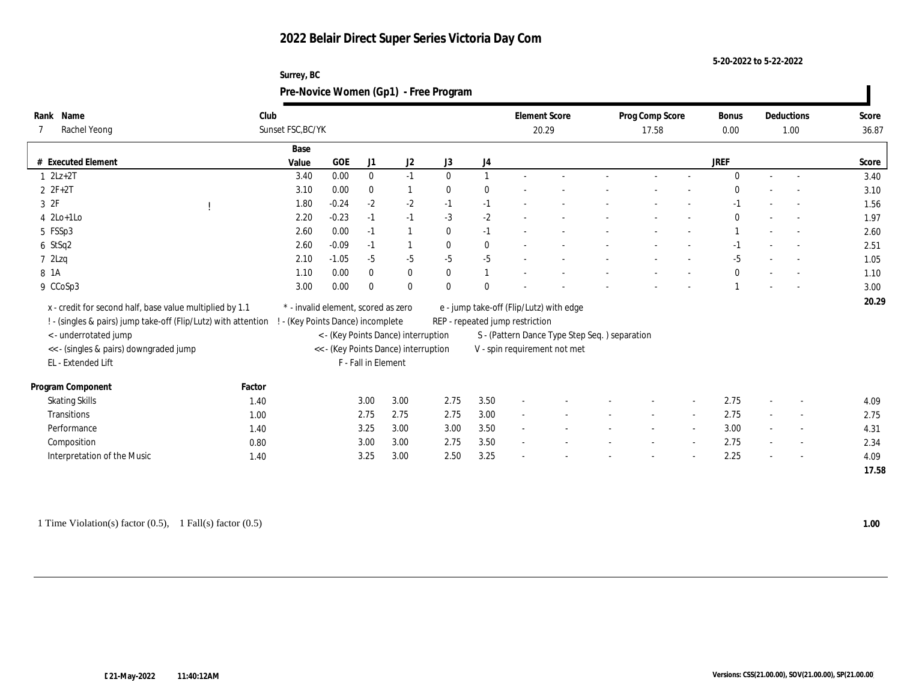| Surrey, BC                            |
|---------------------------------------|
| Pre-Novice Women (Gp1) - Free Program |

| Rank Name                                                       | Club   |                                     |         |                     |                                                                             |              |              |                                 | <b>Element Score</b>                           | Prog Comp Score |                          | Bonus        | Deductions               | Score |
|-----------------------------------------------------------------|--------|-------------------------------------|---------|---------------------|-----------------------------------------------------------------------------|--------------|--------------|---------------------------------|------------------------------------------------|-----------------|--------------------------|--------------|--------------------------|-------|
| Rachel Yeong                                                    |        | Sunset FSC, BC/YK                   |         |                     |                                                                             |              |              |                                 | 20.29                                          | 17.58           |                          | 0.00         | 1.00                     | 36.87 |
|                                                                 |        | Base                                |         |                     |                                                                             |              |              |                                 |                                                |                 |                          |              |                          |       |
| # Executed Element                                              |        | Value                               | GOE     | J1                  | J2                                                                          | J3           | J4           |                                 |                                                |                 |                          | <b>JREF</b>  |                          | Score |
| $1 \quad 2Lz+2T$                                                |        | 3.40                                | 0.00    | $\mathbf{0}$        | $-1$                                                                        | $\theta$     | $\mathbf{1}$ |                                 |                                                |                 |                          | $\Omega$     | $\overline{a}$           | 3.40  |
| $2 F + 2T$                                                      |        | 3.10                                | 0.00    | $\bf{0}$            | $\mathbf{1}$                                                                | $\mathbf{0}$ | $\bf{0}$     |                                 |                                                |                 |                          | $\theta$     |                          | 3.10  |
| 3 2F                                                            |        | 1.80                                | $-0.24$ | $-2$                | $-2$                                                                        | $-1$         | $-1$         |                                 |                                                |                 |                          | $-1$         |                          | 1.56  |
| $4$ 2Lo+1Lo                                                     |        | 2.20                                | $-0.23$ | $-1$                | $-1$                                                                        | $-3$         | $-2$         |                                 |                                                |                 |                          | $\theta$     | $\overline{\phantom{a}}$ | 1.97  |
| 5 FSSp3                                                         |        | 2.60                                | 0.00    | $-1$                | $\mathbf{1}$                                                                | $\mathbf{0}$ | $-1$         |                                 |                                                |                 |                          |              | $\overline{a}$           | 2.60  |
| 6 StSq2                                                         |        | 2.60                                | $-0.09$ | $-1$                |                                                                             | $\bf{0}$     | $\bf{0}$     |                                 |                                                |                 |                          | $-1$         | $\overline{\phantom{a}}$ | 2.51  |
| $7$ 2Lzq                                                        |        | 2.10                                | $-1.05$ | $-5$                | $-5$                                                                        | $-5$         | $-5$         |                                 |                                                |                 |                          | $-5$         | $\overline{\phantom{a}}$ | 1.05  |
| 8 1 A                                                           |        | 1.10                                | 0.00    | $\mathbf{0}$        | $\bf{0}$                                                                    | $\mathbf{0}$ | 1            |                                 |                                                |                 |                          | $\mathbf{0}$ | $\overline{a}$           | 1.10  |
| 9 CCoSp3                                                        |        | 3.00                                | 0.00    | $\bf{0}$            | $\bf{0}$                                                                    | $\theta$     | $\theta$     |                                 |                                                |                 |                          |              | $\overline{a}$           | 3.00  |
| x - credit for second half, base value multiplied by 1.1        |        | * - invalid element, scored as zero |         |                     |                                                                             |              |              |                                 | e - jump take-off (Flip/Lutz) with edge        |                 |                          |              |                          | 20.29 |
| ! - (singles & pairs) jump take-off (Flip/Lutz) with attention  |        | - (Key Points Dance) incomplete     |         |                     |                                                                             |              |              | REP - repeated jump restriction |                                                |                 |                          |              |                          |       |
|                                                                 |        |                                     |         |                     |                                                                             |              |              |                                 |                                                |                 |                          |              |                          |       |
| < - underrotated jump<br><< - (singles & pairs) downgraded jump |        |                                     |         |                     | < - (Key Points Dance) interruption<br><< - (Key Points Dance) interruption |              |              |                                 | S - (Pattern Dance Type Step Seq. ) separation |                 |                          |              |                          |       |
| EL - Extended Lift                                              |        |                                     |         | F - Fall in Element |                                                                             |              |              |                                 | V - spin requirement not met                   |                 |                          |              |                          |       |
|                                                                 |        |                                     |         |                     |                                                                             |              |              |                                 |                                                |                 |                          |              |                          |       |
| Program Component                                               | Factor |                                     |         |                     |                                                                             |              |              |                                 |                                                |                 |                          |              |                          |       |
| <b>Skating Skills</b>                                           | 1.40   |                                     |         | 3.00                | 3.00                                                                        | 2.75         | 3.50         |                                 |                                                |                 | $\overline{\phantom{a}}$ | 2.75         | $\overline{\phantom{a}}$ | 4.09  |
| Transitions                                                     | 1.00   |                                     |         | 2.75                | 2.75                                                                        | 2.75         | 3.00         |                                 |                                                |                 | $\overline{\phantom{a}}$ | 2.75         | $\sim$                   | 2.75  |
| Performance                                                     | 1.40   |                                     |         | 3.25                | 3.00                                                                        | 3.00         | 3.50         |                                 |                                                |                 |                          | 3.00         | $\overline{\phantom{a}}$ | 4.31  |
| Composition                                                     | 0.80   |                                     |         | 3.00                | 3.00                                                                        | 2.75         | $3.50\,$     | $\sim$                          |                                                |                 | $\sim$                   | 2.75         | $\overline{\phantom{a}}$ | 2.34  |
| Interpretation of the Music                                     | 1.40   |                                     |         | 3.25                | 3.00                                                                        | 2.50         | 3.25         |                                 |                                                |                 |                          | 2.25         |                          | 4.09  |
|                                                                 |        |                                     |         |                     |                                                                             |              |              |                                 |                                                |                 |                          |              |                          | 17.58 |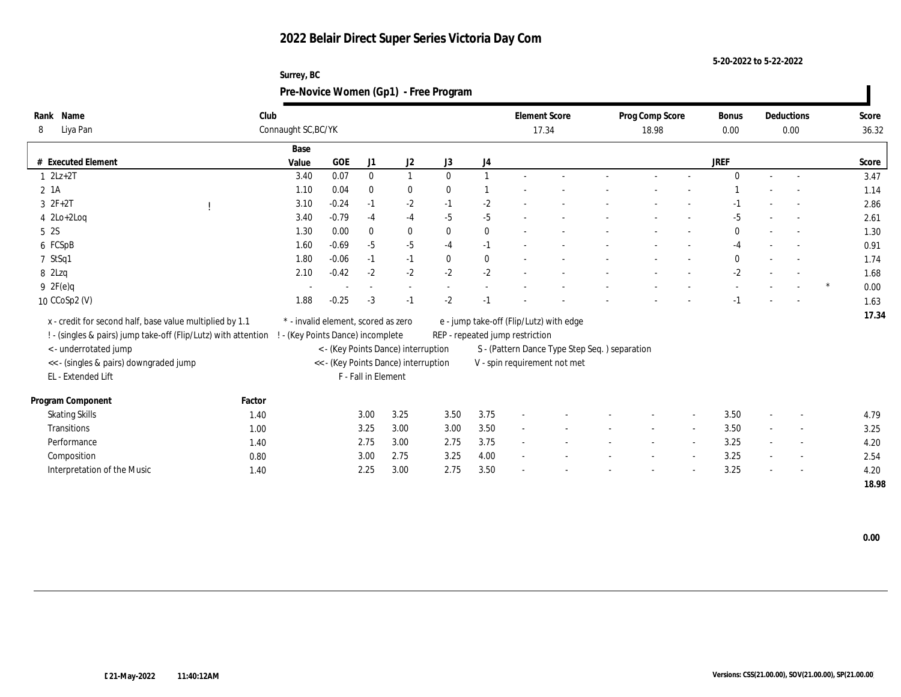**5-20-2022 to 5-22-2022**

#### **Surrey, BC Pre-Novice Women (Gp1) - Free Program**

| Name<br>Rank<br>Liya Pan<br>8                                  | Club   | Connaught SC, BC/YK                 |              |                     |                                      |              |                  | <b>Element Score</b><br>17.34   |                                               | Prog Comp Score<br>18.98 |                          |              |        | Deductions<br>0.00       |        | Score<br>36.32 |
|----------------------------------------------------------------|--------|-------------------------------------|--------------|---------------------|--------------------------------------|--------------|------------------|---------------------------------|-----------------------------------------------|--------------------------|--------------------------|--------------|--------|--------------------------|--------|----------------|
|                                                                |        | Base                                |              |                     |                                      |              |                  |                                 |                                               |                          |                          |              |        |                          |        |                |
| # Executed Element                                             |        | Value                               | $_{\rm GOE}$ | J1                  | J2                                   | J3           | $_{\mathrm{J}4}$ |                                 |                                               |                          |                          | <b>JREF</b>  |        |                          |        | Score          |
| $1 \quad 2Lz+2T$                                               |        | 3.40                                | 0.07         | $\bf{0}$            | $\mathbf{1}$                         | $\Omega$     | $\mathbf{1}$     |                                 |                                               | $\sim$                   |                          | $\Omega$     | $\sim$ | $\sim$                   |        | 3.47           |
| $2 \; 1A$                                                      |        | 1.10                                | 0.04         | $\mathbf{0}$        | $\bf{0}$                             | $\bf{0}$     |                  |                                 |                                               |                          |                          |              |        |                          |        | 1.14           |
| $3 \t2F+2T$                                                    |        | 3.10                                | $-0.24$      | $-1$                | $-2$                                 | $-1$         | $-2$             |                                 |                                               |                          |                          |              |        |                          |        | 2.86           |
| $4$ $2Lo+2Log$                                                 |        | 3.40                                | $-0.79$      | $-4$                | $-4$                                 | $-5$         | $-5$             |                                 |                                               |                          |                          | $-5$         |        | $\overline{\phantom{a}}$ |        | 2.61           |
| 5 2S                                                           |        | 1.30                                | 0.00         | $\bf{0}$            | $\bf{0}$                             | $\mathbf{0}$ | $\bf{0}$         |                                 |                                               |                          |                          | $\bf{0}$     |        | $\overline{\phantom{a}}$ |        | 1.30           |
| 6 FCSpB                                                        |        | 1.60                                | $-0.69$      | $-5$                | $-5$                                 | $-4$         | $-1$             |                                 |                                               |                          |                          | $-4$         |        | $\overline{\phantom{a}}$ |        | 0.91           |
| 7 StSq1                                                        |        | 1.80                                | $-0.06$      | $-1$                | $-1$                                 | $\mathbf{0}$ | $\bf{0}$         |                                 |                                               |                          |                          | $\mathbf{0}$ |        | $\overline{\phantom{a}}$ |        | 1.74           |
| 8 2Lzq                                                         |        | 2.10                                | $-0.42$      | $-2$                | $\mbox{-}2$                          | $-2$         | $-2$             |                                 |                                               |                          |                          | $-2$         |        | $\overline{\phantom{a}}$ |        | 1.68           |
| 9 2F(e)q                                                       |        |                                     |              |                     |                                      |              |                  |                                 |                                               |                          |                          |              |        |                          | $\ast$ | 0.00           |
| $10$ CCoSp2 (V)                                                |        | 1.88                                | $-0.25$      | $-3$                | $-1$                                 | $-2$         | $-1$             |                                 |                                               |                          |                          | $-1$         |        | $\overline{\phantom{a}}$ |        | 1.63           |
| x - credit for second half, base value multiplied by 1.1       |        | * - invalid element, scored as zero |              |                     |                                      |              |                  |                                 | e - jump take-off (Flip/Lutz) with edge       |                          |                          |              |        |                          |        | 17.34          |
| ! - (singles & pairs) jump take-off (Flip/Lutz) with attention |        | ! - (Key Points Dance) incomplete   |              |                     |                                      |              |                  | REP - repeated jump restriction |                                               |                          |                          |              |        |                          |        |                |
| <- underrotated jump                                           |        |                                     |              |                     | < - (Key Points Dance) interruption  |              |                  |                                 | S - (Pattern Dance Type Step Seq.) separation |                          |                          |              |        |                          |        |                |
| << - (singles & pairs) downgraded jump                         |        |                                     |              |                     | << - (Key Points Dance) interruption |              |                  |                                 | V - spin requirement not met                  |                          |                          |              |        |                          |        |                |
| EL - Extended Lift                                             |        |                                     |              | F - Fall in Element |                                      |              |                  |                                 |                                               |                          |                          |              |        |                          |        |                |
| Program Component                                              | Factor |                                     |              |                     |                                      |              |                  |                                 |                                               |                          |                          |              |        |                          |        |                |
| <b>Skating Skills</b>                                          | 1.40   |                                     |              | 3.00                | 3.25                                 | 3.50         | 3.75             |                                 |                                               |                          | $\overline{\phantom{a}}$ | 3.50         |        | $\overline{\phantom{a}}$ |        | 4.79           |
| Transitions                                                    | 1.00   |                                     |              | 3.25                | 3.00                                 | 3.00         | 3.50             |                                 |                                               |                          |                          | 3.50         |        | $\sim$                   |        | 3.25           |
| Performance                                                    | 1.40   |                                     |              | 2.75                | 3.00                                 | 2.75         | 3.75             | $\overline{\phantom{a}}$        |                                               |                          | $\overline{\phantom{a}}$ | 3.25         |        | $\overline{\phantom{a}}$ |        | 4.20           |
| Composition                                                    | 0.80   |                                     |              | 3.00                | 2.75                                 | 3.25         | 4.00             |                                 |                                               |                          | $\overline{\phantom{a}}$ | 3.25         |        | $\overline{\phantom{a}}$ |        | 2.54           |
| Interpretation of the Music                                    | 1.40   |                                     |              | 2.25                | 3.00                                 | 2.75         | 3.50             |                                 |                                               |                          |                          | 3.25         |        | $\overline{\phantom{a}}$ |        | 4.20           |
|                                                                |        |                                     |              |                     |                                      |              |                  |                                 |                                               |                          |                          |              |        |                          |        | 18.98          |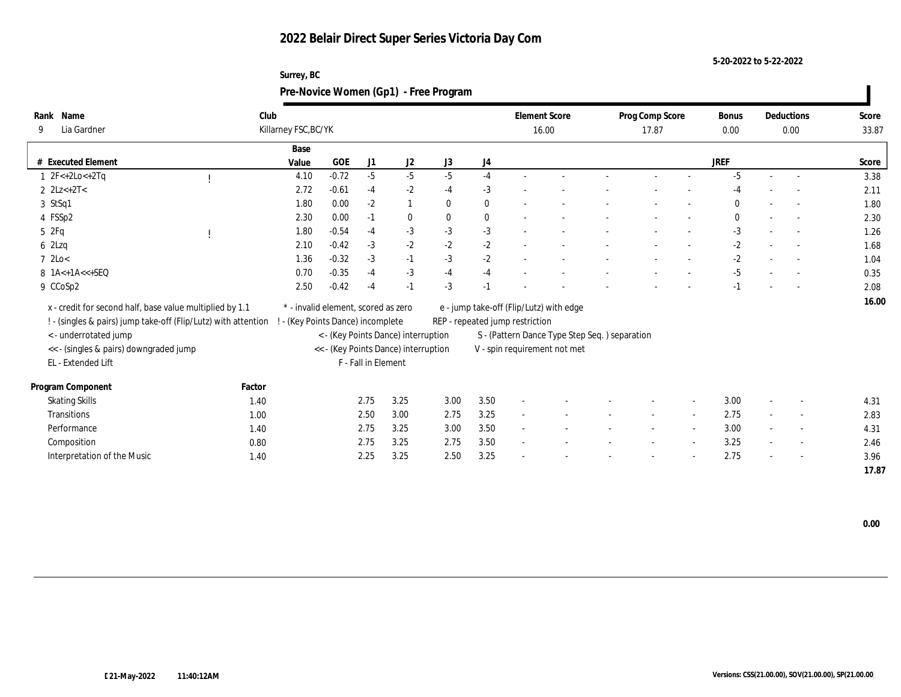| Surrey, BC                            |
|---------------------------------------|
| Pre-Novice Women (Gp1) - Free Program |

| Rank Name                                                                               | Club   |                                     |         |                     |                                      |              |          |                                 | <b>Element Score</b>                          | Prog Comp Score |                          | Bonus        | Deductions               | Score |
|-----------------------------------------------------------------------------------------|--------|-------------------------------------|---------|---------------------|--------------------------------------|--------------|----------|---------------------------------|-----------------------------------------------|-----------------|--------------------------|--------------|--------------------------|-------|
| Lia Gardner<br>9                                                                        |        | Killarney FSC, BC/YK                |         |                     |                                      |              |          |                                 | 16.00                                         | 17.87           |                          | 0.00         | 0.00                     | 33.87 |
|                                                                                         |        | Base                                |         |                     |                                      |              |          |                                 |                                               |                 |                          |              |                          |       |
| # Executed Element                                                                      |        | Value                               | GOE     | J1                  | J <sub>2</sub>                       | J3           | J4       |                                 |                                               |                 |                          | <b>JREF</b>  |                          | Score |
| $1 \t2F<+2Lo<+2Ta$                                                                      |        | 4.10                                | $-0.72$ | $-5$                | $-5$                                 | $-5$         | $-4$     |                                 |                                               |                 |                          | $-5$         |                          | 3.38  |
| 2 $2Lz+2T<$                                                                             |        | 2.72                                | $-0.61$ | $-4$                | $-2$                                 | $-4$         | $-3$     |                                 |                                               |                 |                          | $-4$         |                          | 2.11  |
| 3 StSq1                                                                                 |        | 1.80                                | 0.00    | $-2$                | 1                                    | $\mathbf{0}$ | $\bf{0}$ |                                 |                                               |                 |                          | $\mathbf{0}$ | $\overline{\phantom{a}}$ | 1.80  |
| 4 FSSp2                                                                                 |        | 2.30                                | 0.00    | $-1$                | $\bf{0}$                             | $\mathbf{0}$ | $\bf{0}$ |                                 |                                               |                 |                          | $\mathbf{0}$ | $\overline{a}$           | 2.30  |
| 5 2Fq                                                                                   |        | 1.80                                | $-0.54$ | $-4$                | $-3$                                 | $-3$         | $-3$     |                                 |                                               |                 |                          | $-3$         | $\sim$                   | 1.26  |
| 62Lzq                                                                                   |        | 2.10                                | $-0.42$ | $-3$                | $-2$                                 | $-2$         | $-2$     |                                 |                                               |                 |                          | $-2$         |                          | 1.68  |
| $7 \text{ } 2\text{Lo}$                                                                 |        | 1.36                                | $-0.32$ | $-3$                | $-1$                                 | $-3$         | $-2$     |                                 |                                               |                 |                          | $-2$         |                          | 1.04  |
| 8 1A<+1A<<+SEQ                                                                          |        | 0.70                                | $-0.35$ | $-4$                | $-3$                                 | $-4$         | $-4$     |                                 |                                               |                 |                          | $-5$         |                          | 0.35  |
| 9 CCoSp2                                                                                |        | 2.50                                | $-0.42$ | $-4$                | $-1$                                 | $-3$         | $-1$     |                                 |                                               |                 |                          | $-1$         | $\sim$                   | 2.08  |
| x - credit for second half, base value multiplied by 1.1                                |        | * - invalid element, scored as zero |         |                     |                                      |              |          |                                 | e - jump take-off (Flip/Lutz) with edge       |                 |                          |              |                          | 16.00 |
|                                                                                         |        |                                     |         |                     |                                      |              |          |                                 |                                               |                 |                          |              |                          |       |
| ! - (singles & pairs) jump take-off (Flip/Lutz) with attention<br>< - underrotated jump |        | - (Key Points Dance) incomplete     |         |                     | < - (Key Points Dance) interruption  |              |          | REP - repeated jump restriction |                                               |                 |                          |              |                          |       |
| << - (singles & pairs) downgraded jump                                                  |        |                                     |         |                     | << - (Key Points Dance) interruption |              |          |                                 | S - (Pattern Dance Type Step Seq.) separation |                 |                          |              |                          |       |
| EL - Extended Lift                                                                      |        |                                     |         | F - Fall in Element |                                      |              |          |                                 | V - spin requirement not met                  |                 |                          |              |                          |       |
|                                                                                         |        |                                     |         |                     |                                      |              |          |                                 |                                               |                 |                          |              |                          |       |
| Program Component                                                                       | Factor |                                     |         |                     |                                      |              |          |                                 |                                               |                 |                          |              |                          |       |
| <b>Skating Skills</b>                                                                   | 1.40   |                                     |         | 2.75                | 3.25                                 | 3.00         | 3.50     | $\overline{\phantom{a}}$        |                                               |                 | $\overline{\phantom{a}}$ | 3.00         | $\overline{\phantom{a}}$ | 4.31  |
| Transitions                                                                             | 1.00   |                                     |         | 2.50                | 3.00                                 | 2.75         | 3.25     |                                 |                                               |                 | $\overline{a}$           | 2.75         | $\overline{\phantom{a}}$ | 2.83  |
| Performance                                                                             | 1.40   |                                     |         | 2.75                | 3.25                                 | 3.00         | 3.50     |                                 |                                               |                 |                          | 3.00         | $\overline{\phantom{a}}$ | 4.31  |
| Composition                                                                             | 0.80   |                                     |         | 2.75                | 3.25                                 | 2.75         | 3.50     | $\sim$                          |                                               |                 | $\overline{\phantom{a}}$ | 3.25         | $\sim$                   | 2.46  |
| Interpretation of the Music                                                             | 1.40   |                                     |         | 2.25                | 3.25                                 | 2.50         | 3.25     |                                 |                                               |                 |                          | 2.75         | $\overline{\phantom{a}}$ | 3.96  |
|                                                                                         |        |                                     |         |                     |                                      |              |          |                                 |                                               |                 |                          |              |                          | 17.87 |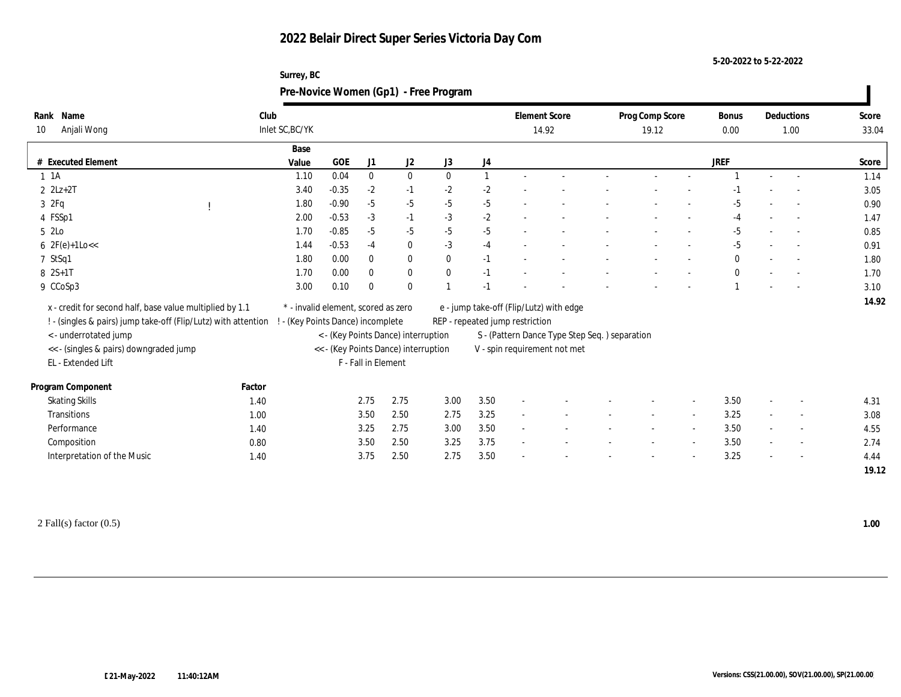| Surrey, BC                            |
|---------------------------------------|
| Pre-Novice Women (Gp1) - Free Program |

| Name<br>Rank                                                                            | Club            |                                     |         |                     |                                      |              |              | <b>Element Score</b>            |                                               | Prog Comp Score |                          | <b>Bonus</b> | Deductions               | Score |
|-----------------------------------------------------------------------------------------|-----------------|-------------------------------------|---------|---------------------|--------------------------------------|--------------|--------------|---------------------------------|-----------------------------------------------|-----------------|--------------------------|--------------|--------------------------|-------|
| Anjali Wong<br>10                                                                       | Inlet SC, BC/YK |                                     |         |                     |                                      |              |              | 14.92                           |                                               | 19.12           |                          | 0.00         | 1.00                     | 33.04 |
|                                                                                         |                 | Base                                |         |                     |                                      |              |              |                                 |                                               |                 |                          |              |                          |       |
| <b>Executed Element</b>                                                                 |                 | Value                               | GOE     | J1                  | J2                                   | J3           | J4           |                                 |                                               |                 |                          | <b>JREF</b>  |                          | Score |
| $1 \text{ A}$                                                                           |                 | 1.10                                | 0.04    | $\bf{0}$            | $\bf{0}$                             | $\mathbf{0}$ | $\mathbf{1}$ |                                 |                                               |                 |                          |              |                          | 1.14  |
| $2 \text{ } 2Lz + 2T$                                                                   |                 | 3.40                                | $-0.35$ | $-2$                | $-1$                                 | $-2$         | $-2$         |                                 |                                               |                 |                          |              |                          | 3.05  |
| 3ZFq                                                                                    |                 | 1.80                                | $-0.90$ | $-5$                | $-5$                                 | $-5$         | $-5$         |                                 |                                               |                 |                          | -5           | $\sim$                   | 0.90  |
| 4 FSSp1                                                                                 |                 | 2.00                                | $-0.53$ | $-3$                | $-1$                                 | $-3$         | $-2$         |                                 |                                               |                 |                          | -4           | $\overline{a}$           | 1.47  |
| 5 2Lo                                                                                   |                 | 1.70                                | $-0.85$ | $-5$                | $-5$                                 | $-5$         | $-5$         |                                 |                                               |                 |                          | $-5$         | $\sim$                   | 0.85  |
| $6 \text{ } 2F(e)+1Lo <<$                                                               |                 | 1.44                                | $-0.53$ | $-4$                | $\bf{0}$                             | $-3$         | $-4$         |                                 |                                               |                 |                          | $-5$         |                          | 0.91  |
| 7 StSq1                                                                                 |                 | 1.80                                | 0.00    | $\mathbf{0}$        | $\bf{0}$                             | $\mathbf{0}$ | $-1$         |                                 |                                               |                 |                          | $\bf{0}$     |                          | 1.80  |
| $8 \t2S+1T$                                                                             |                 | 1.70                                | 0.00    | $\theta$            | $\bf{0}$                             | $\theta$     | $-1$         |                                 |                                               |                 |                          | $\mathbf{0}$ |                          | 1.70  |
| 9 CCoSp3                                                                                |                 | 3.00                                | 0.10    | $\theta$            | $\mathbf{0}$                         |              | $-1$         |                                 |                                               |                 |                          |              |                          | 3.10  |
| x - credit for second half, base value multiplied by 1.1                                |                 | * - invalid element, scored as zero |         |                     |                                      |              |              |                                 | e - jump take-off (Flip/Lutz) with edge       |                 |                          |              |                          | 14.92 |
|                                                                                         |                 | ! - (Key Points Dance) incomplete   |         |                     |                                      |              |              | REP - repeated jump restriction |                                               |                 |                          |              |                          |       |
| ! - (singles & pairs) jump take-off (Flip/Lutz) with attention<br>< - underrotated jump |                 |                                     |         |                     | < - (Key Points Dance) interruption  |              |              |                                 |                                               |                 |                          |              |                          |       |
| << - (singles & pairs) downgraded jump                                                  |                 |                                     |         |                     | << - (Key Points Dance) interruption |              |              |                                 | S - (Pattern Dance Type Step Seq.) separation |                 |                          |              |                          |       |
| EL - Extended Lift                                                                      |                 |                                     |         | F - Fall in Element |                                      |              |              |                                 | V - spin requirement not met                  |                 |                          |              |                          |       |
|                                                                                         |                 |                                     |         |                     |                                      |              |              |                                 |                                               |                 |                          |              |                          |       |
| Program Component                                                                       | Factor          |                                     |         |                     |                                      |              |              |                                 |                                               |                 |                          |              |                          |       |
| <b>Skating Skills</b>                                                                   | 1.40            |                                     |         | 2.75                | 2.75                                 | 3.00         | 3.50         |                                 |                                               |                 | $\overline{\phantom{a}}$ | 3.50         | $\sim$                   | 4.31  |
| <b>Transitions</b>                                                                      | 1.00            |                                     |         | 3.50                | 2.50                                 | 2.75         | 3.25         |                                 |                                               |                 |                          | 3.25         | $\overline{\phantom{a}}$ | 3.08  |
| Performance                                                                             | 1.40            |                                     |         | 3.25                | 2.75                                 | 3.00         | 3.50         |                                 |                                               |                 |                          | 3.50         | $\overline{\phantom{a}}$ | 4.55  |
| Composition                                                                             | 0.80            |                                     |         | 3.50                | 2.50                                 | 3.25         | 3.75         | $\sim$                          |                                               |                 |                          | 3.50         | $\sim$                   | 2.74  |
| Interpretation of the Music                                                             | 1.40            |                                     |         | 3.75                | 2.50                                 | 2.75         | 3.50         |                                 |                                               |                 |                          | 3.25         | $\overline{\phantom{a}}$ | 4.44  |
|                                                                                         |                 |                                     |         |                     |                                      |              |              |                                 |                                               |                 |                          |              |                          | 19.12 |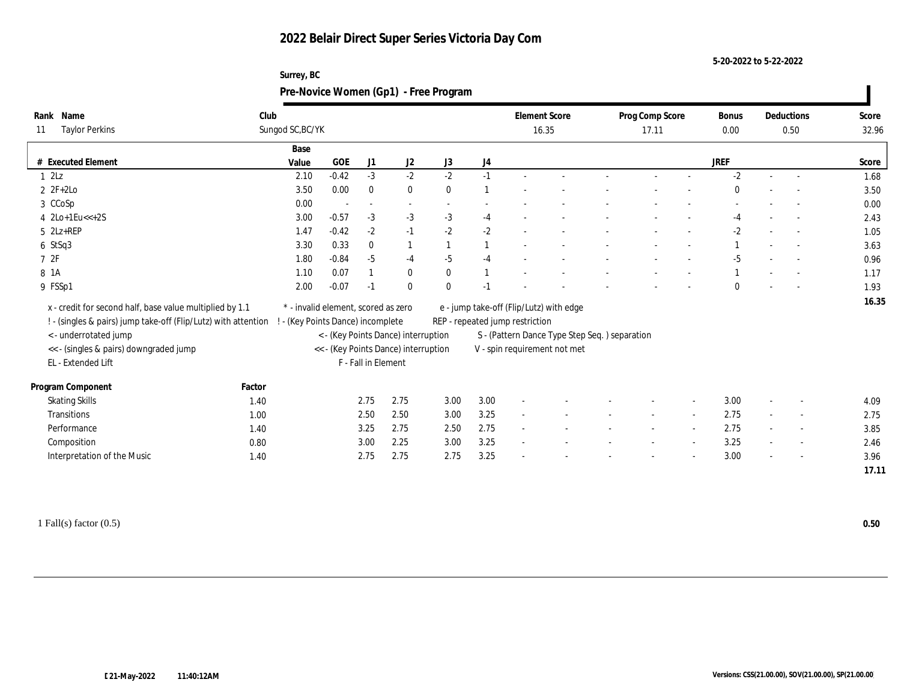| Surrey, BC                            |
|---------------------------------------|
| Pre-Novice Women (Gp1) - Free Program |

| Name<br>Rank                                                    | Club   |                                     |         |                          |                                                                             |              |      |                                 | <b>Element Score</b>                          | Prog Comp Score |                          | Bonus       | Deductions | Score |
|-----------------------------------------------------------------|--------|-------------------------------------|---------|--------------------------|-----------------------------------------------------------------------------|--------------|------|---------------------------------|-----------------------------------------------|-----------------|--------------------------|-------------|------------|-------|
| <b>Taylor Perkins</b><br>11                                     |        | Sungod SC, BC/YK                    |         |                          |                                                                             |              |      |                                 | 16.35                                         | 17.11           |                          | 0.00        | 0.50       | 32.96 |
|                                                                 |        | Base                                |         |                          |                                                                             |              |      |                                 |                                               |                 |                          |             |            |       |
| # Executed Element                                              |        | Value                               | GOE     | J1                       | J2                                                                          | J3           | J4   |                                 |                                               |                 |                          | <b>JREF</b> |            | Score |
| 12Lz                                                            |        | 2.10                                | $-0.42$ | $-3$                     | $-2$                                                                        | $-2$         | $-1$ |                                 |                                               |                 |                          | $-2$        |            | 1.68  |
| $2 \t2F+2Lo$                                                    |        | 3.50                                | 0.00    | $\bf{0}$                 | $\bf{0}$                                                                    | $\mathbf{0}$ |      |                                 |                                               |                 |                          | $\Omega$    |            | 3.50  |
| 3 CCoSp                                                         |        | 0.00                                |         | $\overline{\phantom{a}}$ | $\overline{\phantom{a}}$                                                    |              |      |                                 |                                               |                 |                          |             |            | 0.00  |
| $4$ $2Lo+1Eu<<+2S$                                              |        | 3.00                                | $-0.57$ | $-3$                     | $-3$                                                                        | $-3$         | $-4$ |                                 |                                               |                 |                          | -4          | $\sim$     | 2.43  |
| $5$ $2Lz+REP$                                                   |        | 1.47                                | $-0.42$ | $-2$                     | $-1$                                                                        | $-2$         | $-2$ |                                 |                                               |                 |                          | -2          |            | 1.05  |
| $6$ StSq3                                                       |        | 3.30                                | 0.33    | $\bf{0}$                 | $\mathbf{1}$                                                                |              |      |                                 |                                               |                 |                          |             |            | 3.63  |
| 72F                                                             |        | 1.80                                | $-0.84$ | $-5$                     | $-4$                                                                        | $-5$         | $-4$ |                                 |                                               |                 |                          | -5          |            | 0.96  |
| 8 1 A                                                           |        | 1.10                                | 0.07    |                          | $\bf{0}$                                                                    | $\mathbf{0}$ |      |                                 |                                               |                 |                          |             | $\sim$     | 1.17  |
| 9 FSSp1                                                         |        | 2.00                                | $-0.07$ | $-1$                     | $\bf{0}$                                                                    | $\mathbf{0}$ | $-1$ |                                 |                                               |                 |                          | $\Omega$    |            | 1.93  |
| x - credit for second half, base value multiplied by 1.1        |        | * - invalid element, scored as zero |         |                          |                                                                             |              |      |                                 | e - jump take-off (Flip/Lutz) with edge       |                 |                          |             |            | 16.35 |
| ! - (singles & pairs) jump take-off (Flip/Lutz) with attention  |        | ! - (Key Points Dance) incomplete   |         |                          |                                                                             |              |      | REP - repeated jump restriction |                                               |                 |                          |             |            |       |
|                                                                 |        |                                     |         |                          |                                                                             |              |      |                                 |                                               |                 |                          |             |            |       |
| < - underrotated jump<br><< - (singles & pairs) downgraded jump |        |                                     |         |                          | < - (Key Points Dance) interruption<br><< - (Key Points Dance) interruption |              |      |                                 | S - (Pattern Dance Type Step Seq.) separation |                 |                          |             |            |       |
| EL - Extended Lift                                              |        |                                     |         | F - Fall in Element      |                                                                             |              |      |                                 | V - spin requirement not met                  |                 |                          |             |            |       |
|                                                                 |        |                                     |         |                          |                                                                             |              |      |                                 |                                               |                 |                          |             |            |       |
| Program Component                                               | Factor |                                     |         |                          |                                                                             |              |      |                                 |                                               |                 |                          |             |            |       |
| <b>Skating Skills</b>                                           | 1.40   |                                     |         | 2.75                     | 2.75                                                                        | 3.00         | 3.00 |                                 |                                               |                 | $\overline{\phantom{a}}$ | 3.00        | $\sim$     | 4.09  |
| Transitions                                                     | 1.00   |                                     |         | 2.50                     | 2.50                                                                        | 3.00         | 3.25 |                                 |                                               |                 |                          | 2.75        | $\sim$     | 2.75  |
| Performance                                                     | 1.40   |                                     |         | 3.25                     | 2.75                                                                        | 2.50         | 2.75 |                                 |                                               |                 |                          | 2.75        | $\sim$     | 3.85  |
| Composition                                                     | 0.80   |                                     |         | 3.00                     | 2.25                                                                        | 3.00         | 3.25 | $\sim$                          |                                               |                 |                          | 3.25        | $\sim$     | 2.46  |
| Interpretation of the Music                                     | 1.40   |                                     |         | 2.75                     | 2.75                                                                        | 2.75         | 3.25 |                                 |                                               |                 |                          | 3.00        |            | 3.96  |
|                                                                 |        |                                     |         |                          |                                                                             |              |      |                                 |                                               |                 |                          |             |            | 17.11 |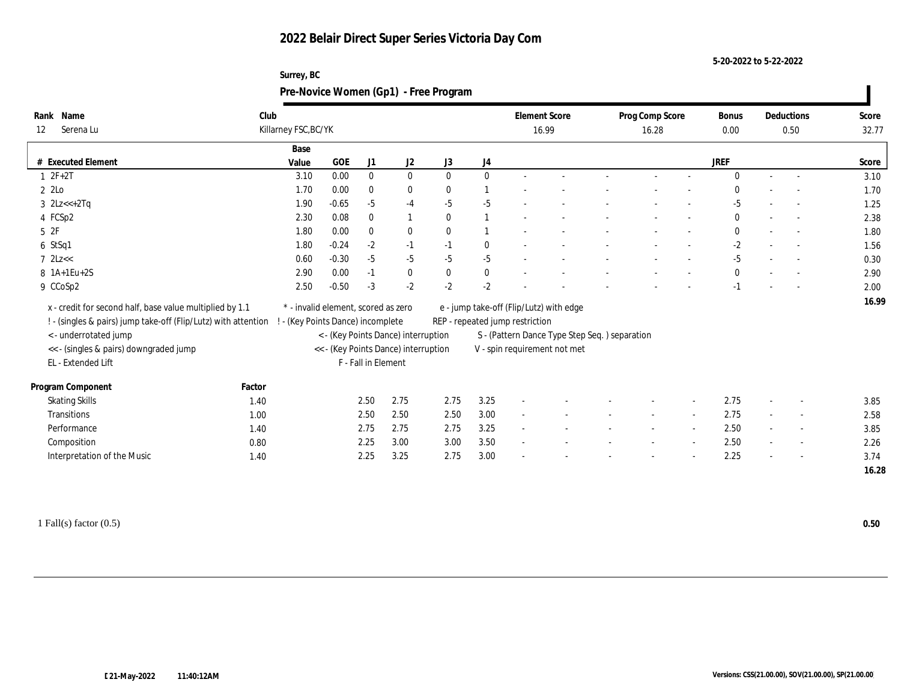| Surrey, BC                            |
|---------------------------------------|
| Pre-Novice Women (Gp1) - Free Program |

| Name<br>Rank                                                   | Club   |                                   |                                     |                     |                                                                             |              |                  |                                 | <b>Element Score</b>                                                          | Prog Comp Score | <b>Bonus</b> | Deductions               | Score |
|----------------------------------------------------------------|--------|-----------------------------------|-------------------------------------|---------------------|-----------------------------------------------------------------------------|--------------|------------------|---------------------------------|-------------------------------------------------------------------------------|-----------------|--------------|--------------------------|-------|
| Serena Lu<br>12                                                |        | Killarney FSC, BC/YK              |                                     |                     |                                                                             |              |                  |                                 | 16.99                                                                         | 16.28           | 0.00         | 0.50                     | 32.77 |
|                                                                |        | Base                              |                                     |                     |                                                                             |              |                  |                                 |                                                                               |                 |              |                          |       |
| # Executed Element                                             |        | Value                             | GOE                                 | J1                  | J2                                                                          | J3           | $_{\mathrm{J}4}$ |                                 |                                                                               |                 | JREF         |                          | Score |
| $1 2F+2T$                                                      |        | 3.10                              | 0.00                                | $\bf{0}$            | $\bf{0}$                                                                    | $\mathbf{0}$ | $\mathbf{0}$     |                                 |                                                                               |                 | $\Omega$     |                          | 3.10  |
| 2 2Lo                                                          |        | 1.70                              | 0.00                                | $\bf{0}$            | $\bf{0}$                                                                    | $\mathbf{0}$ |                  |                                 |                                                                               |                 | $\bf{0}$     |                          | 1.70  |
| 3 $2Lz<+2Tq$                                                   |        | 1.90                              | $-0.65$                             | $-5$                | $-4$                                                                        | $-5$         | $-5$             |                                 |                                                                               |                 | $-5$         |                          | 1.25  |
| 4 FCSp2                                                        |        | 2.30                              | 0.08                                | $\mathbf{0}$        | $\mathbf{1}$                                                                | $\mathbf{0}$ |                  |                                 |                                                                               |                 | $\mathbf{0}$ |                          | 2.38  |
| 5 2F                                                           |        | 1.80                              | 0.00                                | $\mathbf{0}$        | $\bf{0}$                                                                    | $\theta$     |                  |                                 |                                                                               |                 | $\mathbf{0}$ | $\sim$                   | 1.80  |
| 6 StSq1                                                        |        | 1.80                              | $-0.24$                             | $-2$                | $-1$                                                                        | $-1$         | $\bf{0}$         |                                 |                                                                               |                 | $-2$         |                          | 1.56  |
| $7$ $2Lz <$                                                    |        | 0.60                              | $-0.30$                             | $-5$                | $-5$                                                                        | $-5$         | $-5$             |                                 |                                                                               |                 | $-5$         |                          | 0.30  |
| 8 1A+1Eu+2S                                                    |        | 2.90                              | 0.00                                | $-1$                | $\bf{0}$                                                                    | $\mathbf{0}$ | $\bf{0}$         |                                 |                                                                               |                 | $\mathbf{0}$ |                          | 2.90  |
| 9 CCoSp2                                                       |        | 2.50                              | $-0.50$                             | $-3$                | $-2$                                                                        | $-2$         | $-2$             |                                 |                                                                               |                 | $-1$         | $\sim$                   | 2.00  |
| x - credit for second half, base value multiplied by 1.1       |        |                                   | * - invalid element, scored as zero |                     |                                                                             |              |                  |                                 | e - jump take-off (Flip/Lutz) with edge                                       |                 |              |                          | 16.99 |
|                                                                |        |                                   |                                     |                     |                                                                             |              |                  |                                 |                                                                               |                 |              |                          |       |
| ! - (singles & pairs) jump take-off (Flip/Lutz) with attention |        | ! - (Key Points Dance) incomplete |                                     |                     |                                                                             |              |                  | REP - repeated jump restriction |                                                                               |                 |              |                          |       |
| <- underrotated jump<br><< - (singles & pairs) downgraded jump |        |                                   |                                     |                     | < - (Key Points Dance) interruption<br><< - (Key Points Dance) interruption |              |                  |                                 | S - (Pattern Dance Type Step Seq.) separation<br>V - spin requirement not met |                 |              |                          |       |
|                                                                |        |                                   |                                     |                     |                                                                             |              |                  |                                 |                                                                               |                 |              |                          |       |
| EL - Extended Lift                                             |        |                                   |                                     | F - Fall in Element |                                                                             |              |                  |                                 |                                                                               |                 |              |                          |       |
| Program Component                                              | Factor |                                   |                                     |                     |                                                                             |              |                  |                                 |                                                                               |                 |              |                          |       |
| <b>Skating Skills</b>                                          | 1.40   |                                   |                                     | 2.50                | 2.75                                                                        | 2.75         | 3.25             |                                 |                                                                               |                 | 2.75         | $\sim$                   | 3.85  |
| Transitions                                                    | 1.00   |                                   |                                     | 2.50                | 2.50                                                                        | 2.50         | 3.00             |                                 |                                                                               |                 | 2.75         | $\overline{\phantom{a}}$ | 2.58  |
| Performance                                                    | 1.40   |                                   |                                     | 2.75                | 2.75                                                                        | 2.75         | 3.25             |                                 |                                                                               |                 | 2.50         | $\sim$                   | 3.85  |
| Composition                                                    | 0.80   |                                   |                                     | 2.25                | 3.00                                                                        | 3.00         | 3.50             | $\sim$                          |                                                                               |                 | 2.50         | $\sim$                   | 2.26  |
| Interpretation of the Music                                    | 1.40   |                                   |                                     | 2.25                | 3.25                                                                        | 2.75         | 3.00             |                                 |                                                                               |                 | 2.25         |                          | 3.74  |
|                                                                |        |                                   |                                     |                     |                                                                             |              |                  |                                 |                                                                               |                 |              |                          | 16.28 |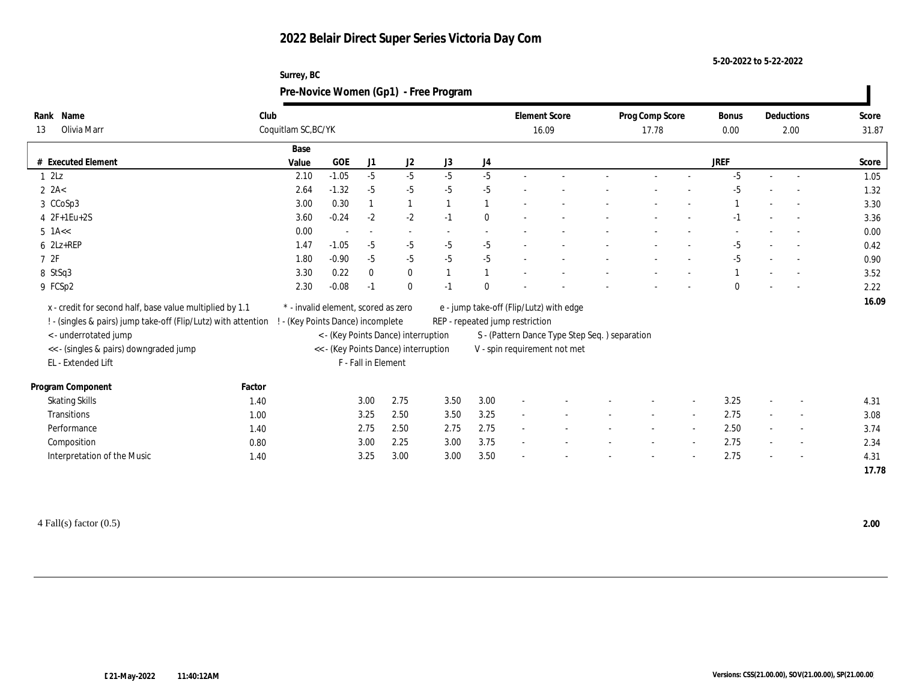#### **5-20-2022 to 5-22-2022**

#### **Surrey, BC Pre-Novice Women (Gp1) - Free Program**

| Name<br>Rank                                                   | Club   |                                     |         |                     |                                      |      |                | <b>Element Score</b>            |                                               | Prog Comp Score |                          | Bonus       | Deductions               | Score |
|----------------------------------------------------------------|--------|-------------------------------------|---------|---------------------|--------------------------------------|------|----------------|---------------------------------|-----------------------------------------------|-----------------|--------------------------|-------------|--------------------------|-------|
| Olivia Marr<br>13                                              |        | Coquitlam SC, BC/YK                 |         |                     |                                      |      |                |                                 | 16.09                                         | 17.78           |                          | 0.00        | 2.00                     | 31.87 |
|                                                                |        | Base                                |         |                     |                                      |      |                |                                 |                                               |                 |                          |             |                          |       |
| # Executed Element                                             |        | Value                               | GOE     | J1                  | J2                                   | J3   | J4             |                                 |                                               |                 |                          | <b>JREF</b> |                          | Score |
| 12Lz                                                           |        | 2.10                                | $-1.05$ | $-5$                | $-5$                                 | $-5$ | $-5$           |                                 |                                               |                 |                          | $-5$        | $\overline{a}$           | 1.05  |
| $2 \text{ } 2A <$                                              |        | 2.64                                | $-1.32$ | $-5$                | $-5$                                 | $-5$ | $-5$           |                                 |                                               |                 |                          | $-5$        |                          | 1.32  |
| 3 CCoSp3                                                       |        | 3.00                                | 0.30    |                     | $\mathbf{1}$                         |      |                |                                 |                                               |                 |                          |             |                          | 3.30  |
| $4$ $2F+1Eu+2S$                                                |        | 3.60                                | $-0.24$ | $-2$                | $-2$                                 | $-1$ | $\mathbf{0}$   |                                 |                                               |                 |                          | $-1$        |                          | 3.36  |
| $5$ 1A $<<$                                                    |        | 0.00                                |         | $\sim$              | $\sim$                               |      |                |                                 |                                               |                 |                          |             |                          | 0.00  |
| $6$ $2Lz+REP$                                                  |        | 1.47                                | $-1.05$ | $-5$                | $-5$                                 | $-5$ | $-5$           |                                 |                                               |                 |                          | -5          |                          | 0.42  |
| 7 2F                                                           |        | 1.80                                | $-0.90$ | $-5$                | $-5$                                 | $-5$ | $-5$           |                                 |                                               |                 |                          | $-5$        |                          | 0.90  |
| 8 StSq3                                                        |        | 3.30                                | 0.22    | $\mathbf{0}$        | $\bf{0}$                             |      | $\overline{1}$ |                                 |                                               |                 |                          |             |                          | 3.52  |
| 9 FCSp2                                                        |        | 2.30                                | $-0.08$ | $-1$                | $\mathbf{0}$                         | $-1$ | $\theta$       |                                 |                                               |                 |                          | $\Omega$    |                          | 2.22  |
| x - credit for second half, base value multiplied by 1.1       |        | * - invalid element, scored as zero |         |                     |                                      |      |                |                                 | e - jump take-off (Flip/Lutz) with edge       |                 |                          |             |                          | 16.09 |
| ! - (singles & pairs) jump take-off (Flip/Lutz) with attention |        | - (Key Points Dance) incomplete     |         |                     |                                      |      |                | REP - repeated jump restriction |                                               |                 |                          |             |                          |       |
| < - underrotated jump                                          |        |                                     |         |                     | < - (Key Points Dance) interruption  |      |                |                                 | S - (Pattern Dance Type Step Seq.) separation |                 |                          |             |                          |       |
| << - (singles & pairs) downgraded jump                         |        |                                     |         |                     | << - (Key Points Dance) interruption |      |                |                                 | V - spin requirement not met                  |                 |                          |             |                          |       |
| EL - Extended Lift                                             |        |                                     |         | F - Fall in Element |                                      |      |                |                                 |                                               |                 |                          |             |                          |       |
|                                                                |        |                                     |         |                     |                                      |      |                |                                 |                                               |                 |                          |             |                          |       |
| Program Component                                              | Factor |                                     |         |                     |                                      |      |                |                                 |                                               |                 |                          |             |                          |       |
| <b>Skating Skills</b>                                          | 1.40   |                                     |         | 3.00                | 2.75                                 | 3.50 | 3.00           | $\overline{\phantom{a}}$        |                                               |                 | $\overline{\phantom{a}}$ | 3.25        | $\sim$                   | 4.31  |
| Transitions                                                    | 1.00   |                                     |         | 3.25                | 2.50                                 | 3.50 | 3.25           |                                 |                                               |                 |                          | 2.75        | $\overline{\phantom{a}}$ | 3.08  |
| Performance                                                    | 1.40   |                                     |         | 2.75                | 2.50                                 | 2.75 | 2.75           |                                 |                                               |                 |                          | 2.50        | $\overline{\phantom{a}}$ | 3.74  |
| Composition                                                    | 0.80   |                                     |         | 3.00                | 2.25                                 | 3.00 | 3.75           | $\sim$                          |                                               |                 |                          | 2.75        | $\sim$                   | 2.34  |
| Interpretation of the Music                                    | 1.40   |                                     |         | 3.25                | 3.00                                 | 3.00 | 3.50           |                                 |                                               |                 |                          | 2.75        | $\overline{\phantom{a}}$ | 4.31  |
|                                                                |        |                                     |         |                     |                                      |      |                |                                 |                                               |                 |                          |             |                          | 17.78 |